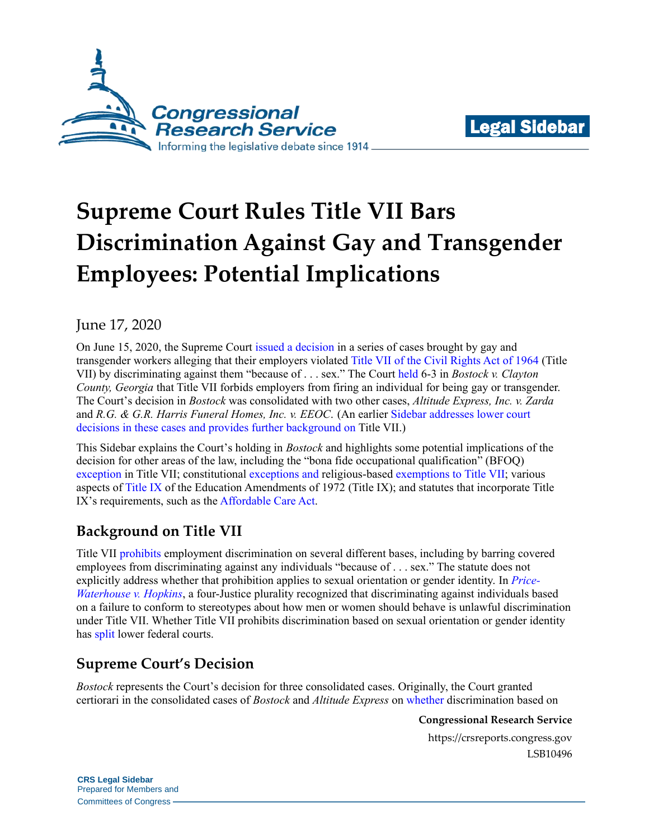



# **Supreme Court Rules Title VII Bars Discrimination Against Gay and Transgender Employees: Potential Implications**

June 17, 2020

On June 15, 2020, the Supreme Court [issued a decision](https://www.scotusblog.com/wp-content/uploads/2020/06/17-1618_hfci.pdf) in a series of cases brought by gay and transgender workers alleging that their employers violated [Title VII of the Civil Rights Act of 1964](https://uscode.house.gov/view.xhtml?req=granuleid:USC-prelim-title42-section2000e-2&num=0&edition=prelim) (Title VII) by discriminating against them "because of . . . sex." The Cour[t held](https://www.scotusblog.com/wp-content/uploads/2020/06/17-1618_hfci.pdf#page=6) 6-3 in *Bostock v. Clayton County, Georgia* that Title VII forbids employers from firing an individual for being gay or transgender. The Court's decision in *Bostock* was consolidated with two other cases, *Altitude Express, Inc. v. Zarda* and *R.G. & G.R. Harris Funeral Homes, Inc. v. EEOC*. (An earlier [Sidebar](https://crsreports.congress.gov/product/pdf/LSB/LSB10352) addresses lower court decisions in these cases and provides further background on Title VII.)

This Sidebar explains the Court's holding in *Bostock* and highlights some potential implications of the decision for other areas of the law, including the "bona fide occupational qualification" (BFOQ) [exception](https://uscode.house.gov/view.xhtml?req=granuleid:USC-prelim-title42-section2000e-2&num=0&edition=prelim) in Title VII; constitutional [exceptions](https://crsreports.congress.gov/product/pdf/LSB/LSB10455) and religious-based [exemptions](https://uscode.house.gov/view.xhtml?req=granuleid:USC-prelim-title42-section2000e-2&num=0&edition=prelim) to Title VII; various aspects of [Title IX](https://www.law.cornell.edu/uscode/text/20/1681) of the Education Amendments of 1972 (Title IX); and statutes that incorporate Title IX's requirements, such as th[e Affordable Care Act.](https://www.law.cornell.edu/uscode/text/42/18116)

# **Background on Title VII**

Title VII [prohibits](https://uscode.house.gov/view.xhtml?req=granuleid:USC-prelim-title42-section2000e-2&num=0&edition=prelim) employment discrimination on several different bases, including by barring covered employees from discriminating against any individuals "because of . . . sex." The statute does not explicitly address whether that prohibition applies to sexual orientation or gender identity. In *[Price-](https://cdn.loc.gov/service/ll/usrep/usrep490/usrep490228/usrep490228.pdf)[Waterhouse v. Hopkins](https://cdn.loc.gov/service/ll/usrep/usrep490/usrep490228/usrep490228.pdf)*, a four-Justice plurality recognized that discriminating against individuals based on a failure to conform to stereotypes about how men or women should behave is unlawful discrimination under Title VII. Whether Title VII prohibits discrimination based on sexual orientation or gender identity has [split](https://crsreports.congress.gov/product/pdf/LSB/LSB10352) lower federal courts.

# **Supreme Court's Decision**

*Bostock* represents the Court's decision for three consolidated cases. Originally, the Court granted certiorari in the consolidated cases of *Bostock* and *Altitude Express* on [whether](https://www.supremecourt.gov/docket/docketfiles/html/qp/17-01618qp.pdf) discrimination based on

**Congressional Research Service**

https://crsreports.congress.gov LSB10496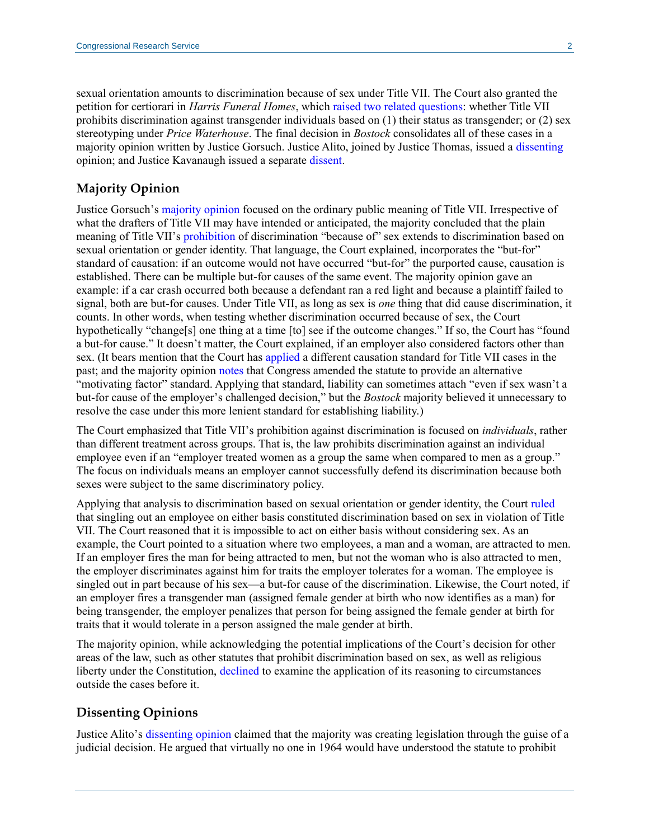sexual orientation amounts to discrimination because of sex under Title VII. The Court also granted the petition for certiorari in *Harris Funeral Homes*, which [raised two related questions:](https://www.supremecourt.gov/docket/docketfiles/html/qp/18-00107qp.pdf) whether Title VII prohibits discrimination against transgender individuals based on (1) their status as transgender; or (2) sex stereotyping under *Price Waterhouse*. The final decision in *Bostock* consolidates all of these cases in a majority opinion written by Justice Gorsuch. Justice Alito, joined by Justice Thomas, issued a [dissenting](https://d2qwohl8lx5mh1.cloudfront.net/8hVHe52Cq4sPdF0wEaTaCQ/content#page=38) opinion; and Justice Kavanaugh issued a separate [dissent.](https://d2qwohl8lx5mh1.cloudfront.net/8hVHe52Cq4sPdF0wEaTaCQ/content#page=145)

#### **Majority Opinion**

Justice Gorsuch's [majority opinion](https://www.scotusblog.com/wp-content/uploads/2020/06/17-1618_hfci.pdf) focused on the ordinary public meaning of Title VII. Irrespective of what the drafters of Title VII may have intended or anticipated, the majority concluded that the plain meaning of Title VII's [prohibition](https://uscode.house.gov/view.xhtml?req=granuleid:USC-prelim-title42-section2000e-2&num=0&edition=prelim) of discrimination "because of" sex extends to discrimination based on sexual orientation or gender identity. That language, the Court explained, incorporates the "but-for" standard of causation: if an outcome would not have occurred "but-for" the purported cause, causation is established. There can be multiple but-for causes of the same event. The majority opinion gave an example: if a car crash occurred both because a defendant ran a red light and because a plaintiff failed to signal, both are but-for causes. Under Title VII, as long as sex is *one* thing that did cause discrimination, it counts. In other words, when testing whether discrimination occurred because of sex, the Court hypothetically "change[s] one thing at a time [to] see if the outcome changes." If so, the Court has "found a but-for cause." It doesn't matter, the Court explained, if an employer also considered factors other than sex. (It bears mention that the Court has [applied](https://supreme.justia.com/cases/federal/us/490/228/#tab-opinion-1957939) a different causation standard for Title VII cases in the past; and the majority opinion [notes](https://d2qwohl8lx5mh1.cloudfront.net/8hVHe52Cq4sPdF0wEaTaCQ/content#page=10) that Congress amended the statute to provide an alternative "motivating factor" standard. Applying that standard, liability can sometimes attach "even if sex wasn't a but-for cause of the employer's challenged decision," but the *Bostock* majority believed it unnecessary to resolve the case under this more lenient standard for establishing liability.)

The Court emphasized that Title VII's prohibition against discrimination is focused on *individuals*, rather than different treatment across groups. That is, the law prohibits discrimination against an individual employee even if an "employer treated women as a group the same when compared to men as a group." The focus on individuals means an employer cannot successfully defend its discrimination because both sexes were subject to the same discriminatory policy.

Applying that analysis to discrimination based on sexual orientation or gender identity, the Court [ruled](https://www.scotusblog.com/wp-content/uploads/2020/06/17-1618_hfci.pdf#page=13) that singling out an employee on either basis constituted discrimination based on sex in violation of Title VII. The Court reasoned that it is impossible to act on either basis without considering sex. As an example, the Court pointed to a situation where two employees, a man and a woman, are attracted to men. If an employer fires the man for being attracted to men, but not the woman who is also attracted to men, the employer discriminates against him for traits the employer tolerates for a woman. The employee is singled out in part because of his sex—a but-for cause of the discrimination. Likewise, the Court noted, if an employer fires a transgender man (assigned female gender at birth who now identifies as a man) for being transgender, the employer penalizes that person for being assigned the female gender at birth for traits that it would tolerate in a person assigned the male gender at birth.

The majority opinion, while acknowledging the potential implications of the Court's decision for other areas of the law, such as other statutes that prohibit discrimination based on sex, as well as religious liberty under the Constitution, [declined](https://d2qwohl8lx5mh1.cloudfront.net/8hVHe52Cq4sPdF0wEaTaCQ/content#page=35) to examine the application of its reasoning to circumstances outside the cases before it.

#### **Dissenting Opinions**

Justice Alito's [dissenting opinion](https://d2qwohl8lx5mh1.cloudfront.net/8hVHe52Cq4sPdF0wEaTaCQ/content#page=38) claimed that the majority was creating legislation through the guise of a judicial decision. He argued that virtually no one in 1964 would have understood the statute to prohibit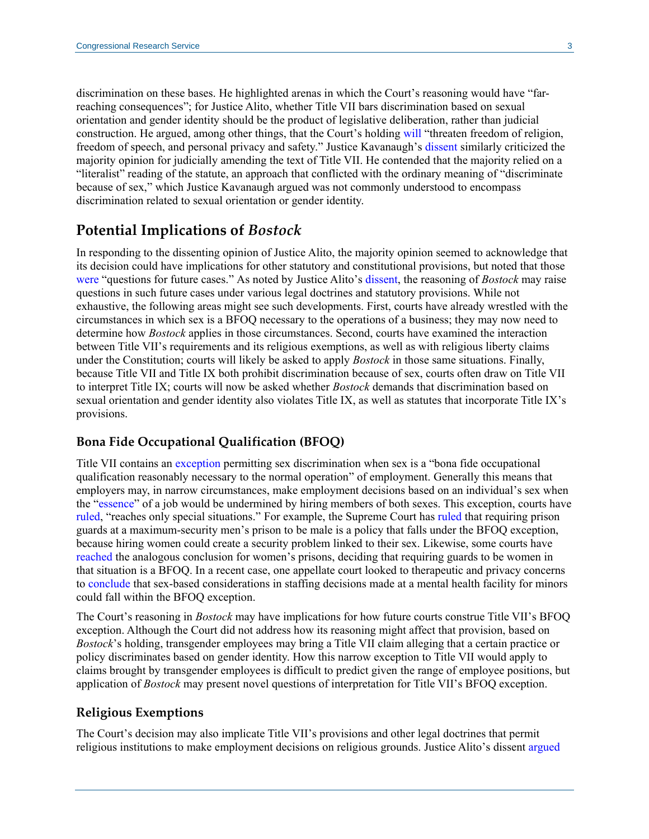discrimination on these bases. He highlighted arenas in which the Court's reasoning would have "farreaching consequences"; for Justice Alito, whether Title VII bars discrimination based on sexual orientation and gender identity should be the product of legislative deliberation, rather than judicial construction. He argued, among other things, that the Court's holding [will](https://d2qwohl8lx5mh1.cloudfront.net/8hVHe52Cq4sPdF0wEaTaCQ/content#page=82) "threaten freedom of religion, freedom of speech, and personal privacy and safety." Justice Kavanaugh's [dissent](https://d2qwohl8lx5mh1.cloudfront.net/8hVHe52Cq4sPdF0wEaTaCQ/content#page=145) similarly criticized the majority opinion for judicially amending the text of Title VII. He contended that the majority relied on a "literalist" reading of the statute, an approach that conflicted with the ordinary meaning of "discriminate because of sex," which Justice Kavanaugh argued was not commonly understood to encompass discrimination related to sexual orientation or gender identity.

## **Potential Implications of** *Bostock*

In responding to the dissenting opinion of Justice Alito, the majority opinion seemed to acknowledge that its decision could have implications for other statutory and constitutional provisions, but noted that those [were](https://www.scotusblog.com/wp-content/uploads/2020/06/17-1618_hfci.pdf#page=36) "questions for future cases." As noted by Justice Alito's [dissent,](https://d2qwohl8lx5mh1.cloudfront.net/8hVHe52Cq4sPdF0wEaTaCQ/content#page=81) the reasoning of *Bostock* may raise questions in such future cases under various legal doctrines and statutory provisions. While not exhaustive, the following areas might see such developments. First, courts have already wrestled with the circumstances in which sex is a BFOQ necessary to the operations of a business; they may now need to determine how *Bostock* applies in those circumstances. Second, courts have examined the interaction between Title VII's requirements and its religious exemptions, as well as with religious liberty claims under the Constitution; courts will likely be asked to apply *Bostock* in those same situations. Finally, because Title VII and Title IX both prohibit discrimination because of sex, courts often draw on Title VII to interpret Title IX; courts will now be asked whether *Bostock* demands that discrimination based on sexual orientation and gender identity also violates Title IX, as well as statutes that incorporate Title IX's provisions.

#### **Bona Fide Occupational Qualification (BFOQ)**

Title VII contains an [exception](https://uscode.house.gov/view.xhtml?req=granuleid:USC-prelim-title42-section2000e-2&num=0&edition=prelim) permitting sex discrimination when sex is a "bona fide occupational qualification reasonably necessary to the normal operation" of employment. Generally this means that employers may, in narrow circumstances, make employment decisions based on an individual's sex when the ["essence"](https://supreme.justia.com/cases/federal/us/433/321/) of a job would be undermined by hiring members of both sexes. This exception, courts have [ruled,](https://supreme.justia.com/cases/federal/us/499/187/#tab-opinion-1958559) "reaches only special situations." For example, the Supreme Court has [ruled](https://supreme.justia.com/cases/federal/us/433/321/) that requiring prison guards at a maximum-security men's prison to be male is a policy that falls under the BFOQ exception, because hiring women could create a security problem linked to their sex. Likewise, some courts have [reached](https://scholar.google.com/scholar_case?case=1858102435458935751&q=391+F.3d+737&hl=en&as_sdt=20003) the analogous conclusion for women's prisons, deciding that requiring guards to be women in that situation is a BFOQ. In a recent case, one appellate court looked to therapeutic and privacy concerns to [conclude](https://scholar.google.com/scholar_case?case=7926735212057938491&q=78+F.3d+128&hl=en&as_sdt=20003) that sex-based considerations in staffing decisions made at a mental health facility for minors could fall within the BFOQ exception.

The Court's reasoning in *Bostock* may have implications for how future courts construe Title VII's BFOQ exception. Although the Court did not address how its reasoning might affect that provision, based on *Bostock*'s holding, transgender employees may bring a Title VII claim alleging that a certain practice or policy discriminates based on gender identity. How this narrow exception to Title VII would apply to claims brought by transgender employees is difficult to predict given the range of employee positions, but application of *Bostock* may present novel questions of interpretation for Title VII's BFOQ exception.

#### **Religious Exemptions**

The Court's decision may also implicate Title VII's provisions and other legal doctrines that permit religious institutions to make employment decisions on religious grounds. Justice Alito's dissent [argued](https://d2qwohl8lx5mh1.cloudfront.net/8hVHe52Cq4sPdF0wEaTaCQ/content)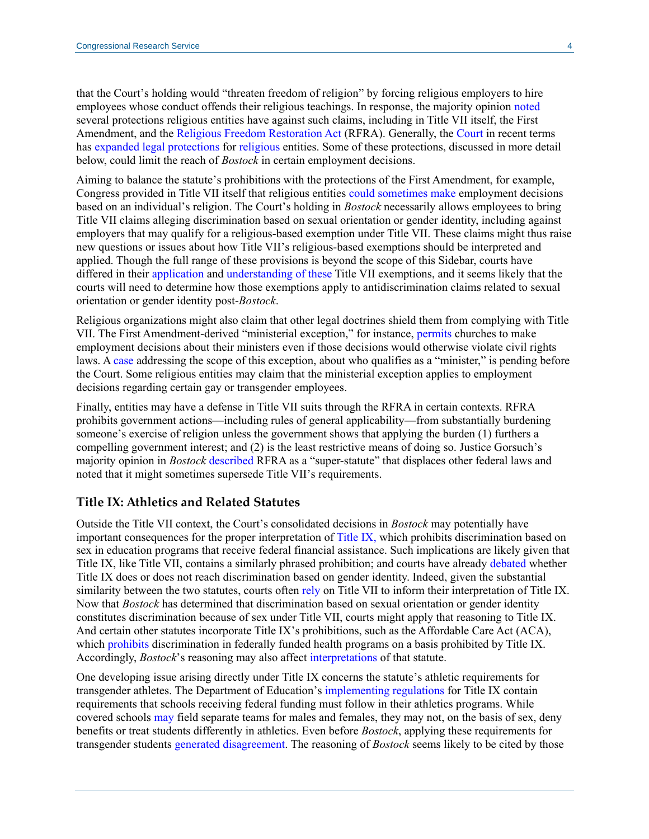that the Court's holding would "threaten freedom of religion" by forcing religious employers to hire employees whose conduct offends their religious teachings. In response, the majority opinion [noted](https://d2qwohl8lx5mh1.cloudfront.net/8hVHe52Cq4sPdF0wEaTaCQ/content#page=36) several protections religious entities have against such claims, including in Title VII itself, the First Amendment, and the [Religious Freedom Restoration Act](https://crsreports.congress.gov/product/pdf/IF/IF11490) (RFRA). Generally, the [Court](https://crsreports.congress.gov/product/pdf/LSB/LSB10259) in recent terms has [expande](https://scholar.google.com/scholar_case?case=6711345368740496870)d legal [protections](https://scholar.google.com/scholar_case?case=860798951822514720) for [religious](https://scholar.google.com/scholar_case?case=1795043925537702415) entities. Some of these protections, discussed in more detail below, could limit the reach of *Bostock* in certain employment decisions.

Aiming to balance the statute's prohibitions with the protections of the First Amendment, for example, Congress provided in Title VII itself that religious entities [could](https://uscode.house.gov/view.xhtml?hl=false&edition=prelim&req=granuleid%3AUSC-prelim-title42-section2000e-2&num=0&saved=%7CZ3JhbnVsZWlkOlVTQy1wcmVsaW0tdGl0bGU0Mi1zZWN0aW9uMjAwMGUtMg%3D%3D%7C%7C%7C0%7Cfalse%7Cprelim) [sometimes](https://uscode.house.gov/view.xhtml?hl=false&edition=prelim&req=granuleid%3AUSC-prelim-title42-section2000e-2&num=0&saved=%7CZ3JhbnVsZWlkOlVTQy1wcmVsaW0tdGl0bGU0Mi1zZWN0aW9uMjAwMGUtMg%3D%3D%7C%7C%7C0%7Cfalse%7Cprelim) [make](https://uscode.house.gov/view.xhtml?hl=false&edition=prelim&req=granuleid%3AUSC-prelim-title42-section2000e-1&num=0&saved=%7CZ3JhbnVsZWlkOlVTQy1wcmVsaW0tdGl0bGU0Mi1zZWN0aW9uMjAwMGUtMg%3D%3D%7C%7C%7C0%7Cfalse%7Cprelim) employment decisions based on an individual's religion. The Court's holding in *Bostock* necessarily allows employees to bring Title VII claims alleging discrimination based on sexual orientation or gender identity, including against employers that may qualify for a religious-based exemption under Title VII. These claims might thus raise new questions or issues about how Title VII's religious-based exemptions should be interpreted and applied. Though the full range of these provisions is beyond the scope of this Sidebar, courts have differed in their [application](https://scholar.google.com/scholar_case?case=16537888367627939041&q=633+F.3d+723&hl=en&as_sdt=20003) and [understanding of](https://scholar.google.com/scholar_case?case=4264793989591852229&q=633+F.3d+723&hl=en&as_sdt=20003) [these](https://scholar.google.com/scholar_case?case=1799584938982810082&q=929+f.2d+944&hl=en&as_sdt=20003) Title VII exemptions, and it seems likely that the courts will need to determine how those exemptions apply to antidiscrimination claims related to sexual orientation or gender identity post-*Bostock*.

Religious organizations might also claim that other legal doctrines shield them from complying with Title VII. The First Amendment-derived "ministerial exception," for instance, [permits](https://crsreports.congress.gov/product/pdf/LSB/LSB10455) churches to make employment decisions about their ministers even if those decisions would otherwise violate civil rights laws. A [case](https://crsreports.congress.gov/product/pdf/IF/IF11490) addressing the scope of this exception, about who qualifies as a "minister," is pending before the Court. Some religious entities may claim that the ministerial exception applies to employment decisions regarding certain gay or transgender employees.

Finally, entities may have a defense in Title VII suits through the RFRA in certain contexts. RFRA prohibits government actions—including rules of general applicability—from substantially burdening someone's exercise of religion unless the government shows that applying the burden (1) furthers a compelling government interest; and (2) is the least restrictive means of doing so. Justice Gorsuch's majority opinion in *Bostock* [described](https://www.scotusblog.com/wp-content/uploads/2020/06/17-1618_hfci.pdf#page=36) RFRA as a "super-statute" that displaces other federal laws and noted that it might sometimes supersede Title VII's requirements.

#### **Title IX: Athletics and Related Statutes**

Outside the Title VII context, the Court's consolidated decisions in *Bostock* may potentially have important consequences for the proper interpretation o[f Title IX,](https://uscode.house.gov/view.xhtml?req=(title:20%20section:1681%20edition:prelim)%20OR%20(granuleid:USC-prelim-title20-section1681)&f=treesort&edition=prelim&num=0&jumpTo=true) which prohibits discrimination based on sex in education programs that receive federal financial assistance. Such implications are likely given that Title IX, like Title VII, contains a similarly phrased prohibition; and courts have already [debated](https://crsreports.congress.gov/product/pdf/LSB/LSB10342) whether Title IX does or does not reach discrimination based on gender identity. Indeed, given the substantial similarity between the two statutes, courts often [rely](https://scholar.google.com/scholar_case?case=3022724147282446357&q=Doe+by+and+through+Doe+v.+Boyertown+Area+School+District&hl=en&as_sdt=20006#[103]) on Title VII to inform their interpretation of Title IX. Now that *Bostock* has determined that discrimination based on sexual orientation or gender identity constitutes discrimination because of sex under Title VII, courts might apply that reasoning to Title IX. And certain other statutes incorporate Title IX's prohibitions, such as the Affordable Care Act (ACA), which [prohibits](https://www.law.cornell.edu/uscode/text/42/18116) discrimination in federally funded health programs on a basis prohibited by Title IX. Accordingly, *Bostock*'s reasoning may also affect [interpretations](https://www.hhs.gov/about/news/2020/06/12/hhs-finalizes-rule-section-1557-protecting-civil-rights-healthcare.html) of that statute.

One developing issue arising directly under Title IX concerns the statute's athletic requirements for transgender athletes. The Department of Education's [implementing regulations](https://www2.ed.gov/policy/rights/reg/ocr/edlite-34cfr106.html#S41) for Title IX contain requirements that schools receiving federal funding must follow in their athletics programs. While covered schools [may](https://www2.ed.gov/policy/rights/reg/ocr/edlite-34cfr106.html#S41) field separate teams for males and females, they may not, on the basis of sex, deny benefits or treat students differently in athletics. Even before *Bostock*, applying these requirements for transgender students [generated](http://www.adfmedia.org/files/SouleDOEImpendingEnforcementLetter.pdf) [disagreement.](https://www.aclu.org/legal-document/hecox-v-little-complaint) The reasoning of *Bostock* seems likely to be cited by those